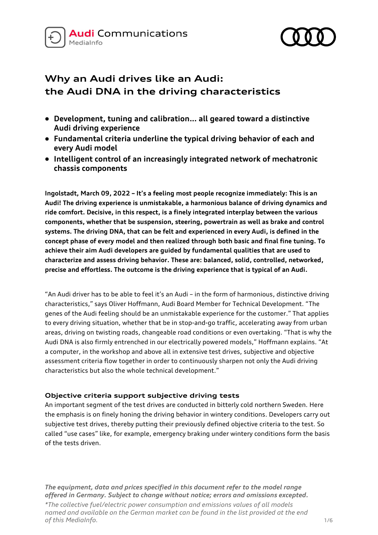



# **Why an Audi drives like an Audi: the Audi DNA in the driving characteristics**

- **Development, tuning and calibration… all geared toward a distinctive Audi driving experience**
- **Fundamental criteria underline the typical driving behavior of each and every Audi model**
- **Intelligent control of an increasingly integrated network of mechatronic chassis components**

**Ingolstadt, March 09, 2022 – It's a feeling most people recognize immediately: This is an Audi! The driving experience is unmistakable, a harmonious balance of driving dynamics and ride comfort. Decisive, in this respect, is a finely integrated interplay between the various components, whether that be suspension, steering, powertrain as well as brake and control systems. The driving DNA, that can be felt and experienced in every Audi, is defined in the concept phase of every model and then realized through both basic and final fine tuning. To achieve their aim Audi developers are guided by fundamental qualities that are used to characterize and assess driving behavior. These are: balanced, solid, controlled, networked, precise and effortless. The outcome is the driving experience that is typical of an Audi.**

"An Audi driver has to be able to feel it's an Audi – in the form of harmonious, distinctive driving characteristics," says Oliver Hoffmann, Audi Board Member for Technical Development. "The genes of the Audi feeling should be an unmistakable experience for the customer." That applies to every driving situation, whether that be in stop-and-go traffic, accelerating away from urban areas, driving on twisting roads, changeable road conditions or even overtaking. "That is why the Audi DNA is also firmly entrenched in our electrically powered models," Hoffmann explains. "At a computer, in the workshop and above all in extensive test drives, subjective and objective assessment criteria flow together in order to continuously sharpen not only the Audi driving characteristics but also the whole technical development."

## **Objective criteria support subjective driving tests**

An important segment of the test drives are conducted in bitterly cold northern Sweden. Here the emphasis is on finely honing the driving behavior in wintery conditions. Developers carry out subjective test drives, thereby putting their previously defined objective criteria to the test. So called "use cases" like, for example, emergency braking under wintery conditions form the basis of the tests driven.

*The equipment, data and prices specified in this document refer to the model range offered in Germany. Subject to change without notice; errors and omissions excepted.*

*\*The collective fuel/electric power consumption and emissions values of all models named and available on the German market can be found in the list provided at the end of this MediaInfo.* 1/6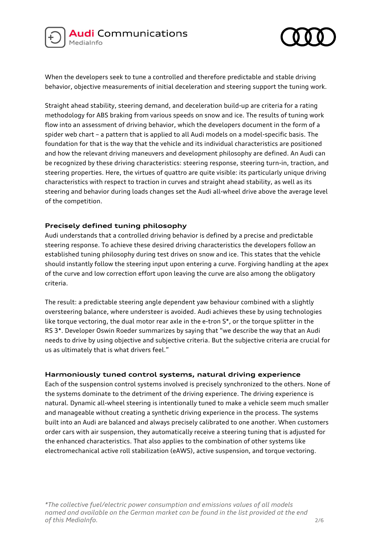



When the developers seek to tune a controlled and therefore predictable and stable driving behavior, objective measurements of initial deceleration and steering support the tuning work.

Straight ahead stability, steering demand, and deceleration build-up are criteria for a rating methodology for ABS braking from various speeds on snow and ice. The results of tuning work flow into an assessment of driving behavior, which the developers document in the form of a spider web chart – a pattern that is applied to all Audi models on a model-specific basis. The foundation for that is the way that the vehicle and its individual characteristics are positioned and how the relevant driving maneuvers and development philosophy are defined. An Audi can be recognized by these driving characteristics: steering response, steering turn-in, traction, and steering properties. Here, the virtues of quattro are quite visible: its particularly unique driving characteristics with respect to traction in curves and straight ahead stability, as well as its steering and behavior during loads changes set the Audi all-wheel drive above the average level of the competition.

## **Precisely defined tuning philosophy**

Audi understands that a controlled driving behavior is defined by a precise and predictable steering response. To achieve these desired driving characteristics the developers follow an established tuning philosophy during test drives on snow and ice. This states that the vehicle should instantly follow the steering input upon entering a curve. Forgiving handling at the apex of the curve and low correction effort upon leaving the curve are also among the obligatory criteria.

The result: a predictable steering angle dependent yaw behaviour combined with a slightly oversteering balance, where understeer is avoided. Audi achieves these by using technologies like torque vectoring, the dual motor rear axle in the e-tron S\*, or the torque splitter in the RS 3\*. Developer Oswin Roeder summarizes by saying that "we describe the way that an Audi needs to drive by using objective and subjective criteria. But the subjective criteria are crucial for us as ultimately that is what drivers feel."

#### **Harmoniously tuned control systems, natural driving experience**

Each of the suspension control systems involved is precisely synchronized to the others. None of the systems dominate to the detriment of the driving experience. The driving experience is natural. Dynamic all-wheel steering is intentionally tuned to make a vehicle seem much smaller and manageable without creating a synthetic driving experience in the process. The systems built into an Audi are balanced and always precisely calibrated to one another. When customers order cars with air suspension, they automatically receive a steering tuning that is adjusted for the enhanced characteristics. That also applies to the combination of other systems like electromechanical active roll stabilization (eAWS), active suspension, and torque vectoring.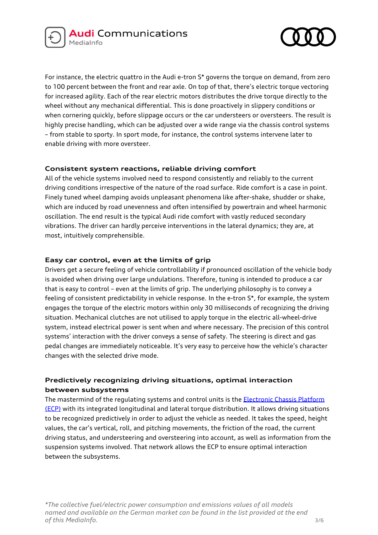



For instance, the electric quattro in the Audi e-tron S\* governs the torque on demand, from zero to 100 percent between the front and rear axle. On top of that, there's electric torque vectoring for increased agility. Each of the rear electric motors distributes the drive torque directly to the wheel without any mechanical differential. This is done proactively in slippery conditions or when cornering quickly, before slippage occurs or the car understeers or oversteers. The result is highly precise handling, which can be adjusted over a wide range via the chassis control systems – from stable to sporty. In sport mode, for instance, the control systems intervene later to enable driving with more oversteer.

## **Consistent system reactions, reliable driving comfort**

All of the vehicle systems involved need to respond consistently and reliably to the current driving conditions irrespective of the nature of the road surface. Ride comfort is a case in point. Finely tuned wheel damping avoids unpleasant phenomena like after-shake, shudder or shake, which are induced by road unevenness and often intensified by powertrain and wheel harmonic oscillation. The end result is the typical Audi ride comfort with vastly reduced secondary vibrations. The driver can hardly perceive interventions in the lateral dynamics; they are, at most, intuitively comprehensible.

## **Easy car control, even at the limits of grip**

Drivers get a secure feeling of vehicle controllability if pronounced oscillation of the vehicle body is avoided when driving over large undulations. Therefore, tuning is intended to produce a car that is easy to control – even at the limits of grip. The underlying philosophy is to convey a feeling of consistent predictability in vehicle response. In the e-tron S\*, for example, the system engages the torque of the electric motors within only 30 milliseconds of recognizing the driving situation. Mechanical clutches are not utilised to apply torque in the electric all-wheel-drive system, instead electrical power is sent when and where necessary. The precision of this control systems' interaction with the driver conveys a sense of safety. The steering is direct and gas pedal changes are immediately noticeable. It's very easy to perceive how the vehicle's character changes with the selected drive mode.

# **Predictively recognizing driving situations, optimal interaction between subsystems**

The mastermind of the regulating systems and control units is the Electronic Chassis Platform [\(ECP\)](https://www.audi-mediacenter.com/en/technology-lexicon-7180/chassis-7185) with its integrated longitudinal and lateral torque distribution. It allows driving situations to be recognized predictively in order to adjust the vehicle as needed. It takes the speed, height values, the car's vertical, roll, and pitching movements, the friction of the road, the current driving status, and understeering and oversteering into account, as well as information from the suspension systems involved. That network allows the ECP to ensure optimal interaction between the subsystems.

*\*The collective fuel/electric power consumption and emissions values of all models named and available on the German market can be found in the list provided at the end of this MediaInfo.* 3/6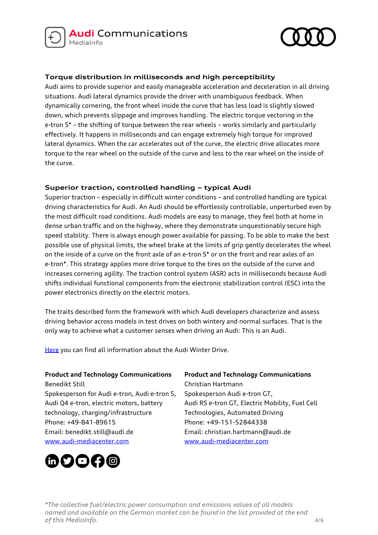



# **Torque distribution in milliseconds and high perceptibility**

Audi aims to provide superior and easily manageable acceleration and deceleration in all driving situations. Audi lateral dynamics provide the driver with unambiguous feedback. When dynamically cornering, the front wheel inside the curve that has less load is slightly slowed down, which prevents slippage and improves handling. The electric torque vectoring in the e-tron S\* – the shifting of torque between the rear wheels – works similarly and particularly effectively. It happens in milliseconds and can engage extremely high torque for improved lateral dynamics. When the car accelerates out of the curve, the electric drive allocates more torque to the rear wheel on the outside of the curve and less to the rear wheel on the inside of the curve.

## **Superior traction, controlled handling – typical Audi**

Superior traction – especially in difficult winter conditions – and controlled handling are typical driving characteristics for Audi. An Audi should be effortlessly controllable, unperturbed even by the most difficult road conditions. Audi models are easy to manage, they feel both at home in dense urban traffic and on the highway, where they demonstrate unquestionably secure high speed stability. There is always enough power available for passing. To be able to make the best possible use of physical limits, the wheel brake at the limits of grip gently decelerates the wheel on the inside of a curve on the front axle of an e-tron S\* or on the front and rear axles of an e-tron\*. This strategy applies more drive torque to the tires on the outside of the curve and increases cornering agility. The traction control system (ASR) acts in milliseconds because Audi shifts individual functional components from the electronic stabilization control (ESC) into the power electronics directly on the electric motors.

The traits described form the framework with which Audi developers characterize and assess driving behavior across models in test drives on both wintery and normal surfaces. That is the only way to achieve what a customer senses when driving an Audi: This is an Audi.

[Here](https://www.audi-mediacenter.com/en/presskits/audi-winter-drive-14477) you can find all information about the Audi Winter Drive.

#### **Product and Technology Communications**

Benedikt Still Spokesperson for Audi e-tron, Audi e-tron S, Audi Q4 e-tron, electric motors, battery technology, charging/infrastructure Phone: +49-841-89615 Email: benedikt.still@audi.de [www.audi-mediacenter.com](http://www.audi-mediacenter.com/)



# **Product and Technology Communications** Christian Hartmann

Spokesperson Audi e-tron GT, Audi RS e-tron GT, Electric Mobility, Fuel Cell Technologies, Automated Driving Phone: +49-151-52844338 Email: christian.hartmann@audi.de [www.audi-mediacenter.com](http://www.audi-mediacenter.com/de)

*\*The collective fuel/electric power consumption and emissions values of all models named and available on the German market can be found in the list provided at the end of this MediaInfo.* 4/6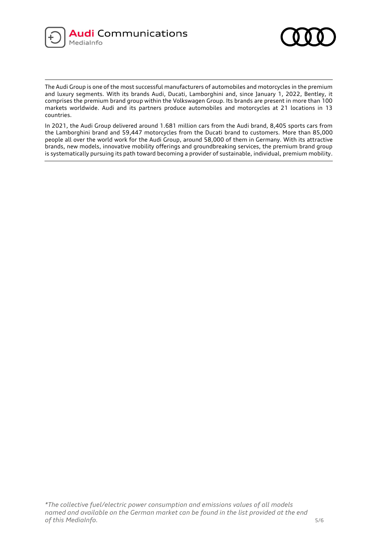



The Audi Group is one of the most successful manufacturers of automobiles and motorcycles in the premium and luxury segments. With its brands Audi, Ducati, Lamborghini and, since January 1, 2022, Bentley, it comprises the premium brand group within the Volkswagen Group. Its brands are present in more than 100 markets worldwide. Audi and its partners produce automobiles and motorcycles at 21 locations in 13 countries.

In 2021, the Audi Group delivered around 1.681 million cars from the Audi brand, 8,405 sports cars from the Lamborghini brand and 59,447 motorcycles from the Ducati brand to customers. More than 85,000 people all over the world work for the Audi Group, around 58,000 of them in Germany. With its attractive brands, new models, innovative mobility offerings and groundbreaking services, the premium brand group is systematically pursuing its path toward becoming a provider of sustainable, individual, premium mobility.